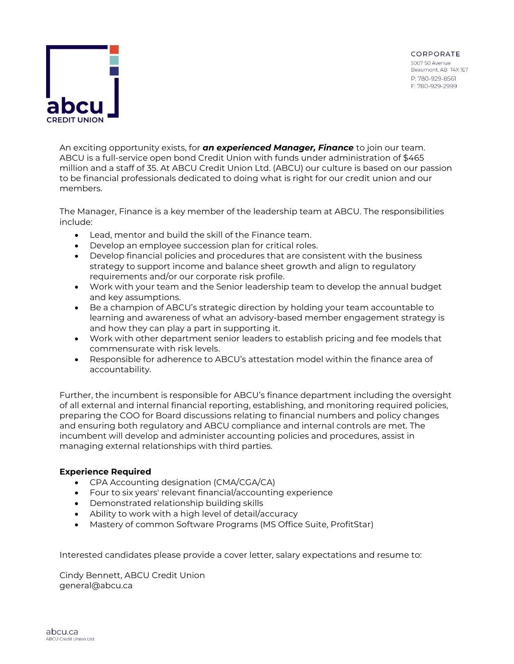

An exciting opportunity exists, for *an experienced Manager, Finance* to join our team. ABCU is a full-service open bond Credit Union with funds under administration of \$465 million and a staff of 35. At ABCU Credit Union Ltd. (ABCU) our culture is based on our passion to be financial professionals dedicated to doing what is right for our credit union and our members.

The Manager, Finance is a key member of the leadership team at ABCU. The responsibilities include:

- Lead, mentor and build the skill of the Finance team.
- Develop an employee succession plan for critical roles.
- Develop financial policies and procedures that are consistent with the business strategy to support income and balance sheet growth and align to regulatory requirements and/or our corporate risk profile.
- Work with your team and the Senior leadership team to develop the annual budget and key assumptions.
- Be a champion of ABCU's strategic direction by holding your team accountable to learning and awareness of what an advisory-based member engagement strategy is and how they can play a part in supporting it.
- Work with other department senior leaders to establish pricing and fee models that commensurate with risk levels.
- Responsible for adherence to ABCU's attestation model within the finance area of accountability.

Further, the incumbent is responsible for ABCU's finance department including the oversight of all external and internal financial reporting, establishing, and monitoring required policies, preparing the COO for Board discussions relating to financial numbers and policy changes and ensuring both regulatory and ABCU compliance and internal controls are met. The incumbent will develop and administer accounting policies and procedures, assist in managing external relationships with third parties.

## **Experience Required**

- CPA Accounting designation (CMA/CGA/CA)
- Four to six years' relevant financial/accounting experience
- Demonstrated relationship building skills
- Ability to work with a high level of detail/accuracy
- Mastery of common Software Programs (MS Office Suite, ProfitStar)

Interested candidates please provide a cover letter, salary expectations and resume to:

Cindy Bennett, ABCU Credit Union general@abcu.ca